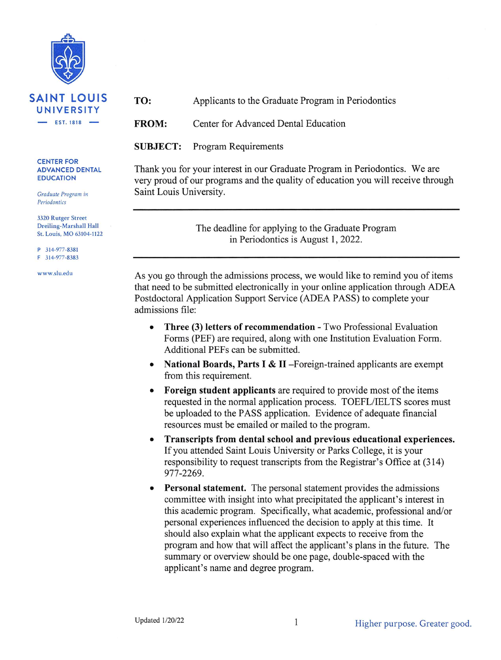

## **CENTER FOR ADVANCED DENTAL EDUCATION**

Graduate Program in Periodontics

3320 Rutger Street Dreiling-Marshall Hall St. Louis, MO 63104-1122

P 314-977-8381 F 314-977-8383

www.slu.edu

TO: Applicants to the Graduate Program in Periodontics

**FROM:** Center for Advanced Dental Education

**SUBJECT: Program Requirements** 

Thank you for your interest in our Graduate Program in Periodontics. We are very proud of our programs and the quality of education you will receive through Saint Louis University.

> The deadline for applying to the Graduate Program in Periodontics is August 1, 2022.

As you go through the admissions process, we would like to remind you of items that need to be submitted electronically in your online application through ADEA Postdoctoral Application Support Service (ADEA PASS) to complete your admissions file:

- Three (3) letters of recommendation Two Professional Evaluation  $\bullet$ Forms (PEF) are required, along with one Institution Evaluation Form. Additional PEFs can be submitted.
- National Boards, Parts I & II Foreign-trained applicants are exempt  $\bullet$ from this requirement.
- **Foreign student applicants** are required to provide most of the items  $\bullet$ requested in the normal application process. TOEFL/IELTS scores must be uploaded to the PASS application. Evidence of adequate financial resources must be emailed or mailed to the program.
- Transcripts from dental school and previous educational experiences.  $\bullet$ If you attended Saint Louis University or Parks College, it is your responsibility to request transcripts from the Registrar's Office at (314) 977-2269.
- $\bullet$ **Personal statement.** The personal statement provides the admissions committee with insight into what precipitated the applicant's interest in this academic program. Specifically, what academic, professional and/or personal experiences influenced the decision to apply at this time. It should also explain what the applicant expects to receive from the program and how that will affect the applicant's plans in the future. The summary or overview should be one page, double-spaced with the applicant's name and degree program.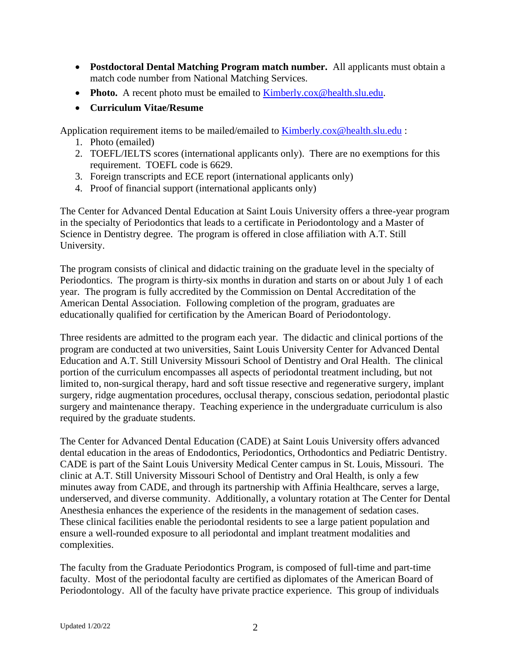- **Postdoctoral Dental Matching Program match number.** All applicants must obtain a match code number from National Matching Services.
- **Photo.** A recent photo must be emailed to **Kimberly.cox@health.slu.edu.**
- **Curriculum Vitae/Resume**

Application requirement items to be mailed/emailed to [Kimberly.cox@health.slu.edu](mailto:Kimberly.cox@health.slu.edu) :

- 1. Photo (emailed)
- 2. TOEFL/IELTS scores (international applicants only). There are no exemptions for this requirement. TOEFL code is 6629.
- 3. Foreign transcripts and ECE report (international applicants only)
- 4. Proof of financial support (international applicants only)

The Center for Advanced Dental Education at Saint Louis University offers a three-year program in the specialty of Periodontics that leads to a certificate in Periodontology and a Master of Science in Dentistry degree. The program is offered in close affiliation with A.T. Still University.

The program consists of clinical and didactic training on the graduate level in the specialty of Periodontics. The program is thirty-six months in duration and starts on or about July 1 of each year. The program is fully accredited by the Commission on Dental Accreditation of the American Dental Association. Following completion of the program, graduates are educationally qualified for certification by the American Board of Periodontology.

Three residents are admitted to the program each year. The didactic and clinical portions of the program are conducted at two universities, Saint Louis University Center for Advanced Dental Education and A.T. Still University Missouri School of Dentistry and Oral Health. The clinical portion of the curriculum encompasses all aspects of periodontal treatment including, but not limited to, non-surgical therapy, hard and soft tissue resective and regenerative surgery, implant surgery, ridge augmentation procedures, occlusal therapy, conscious sedation, periodontal plastic surgery and maintenance therapy. Teaching experience in the undergraduate curriculum is also required by the graduate students.

The Center for Advanced Dental Education (CADE) at Saint Louis University offers advanced dental education in the areas of Endodontics, Periodontics, Orthodontics and Pediatric Dentistry. CADE is part of the Saint Louis University Medical Center campus in St. Louis, Missouri. The clinic at A.T. Still University Missouri School of Dentistry and Oral Health, is only a few minutes away from CADE, and through its partnership with Affinia Healthcare, serves a large, underserved, and diverse community. Additionally, a voluntary rotation at The Center for Dental Anesthesia enhances the experience of the residents in the management of sedation cases. These clinical facilities enable the periodontal residents to see a large patient population and ensure a well-rounded exposure to all periodontal and implant treatment modalities and complexities.

The faculty from the Graduate Periodontics Program, is composed of full-time and part-time faculty. Most of the periodontal faculty are certified as diplomates of the American Board of Periodontology. All of the faculty have private practice experience. This group of individuals